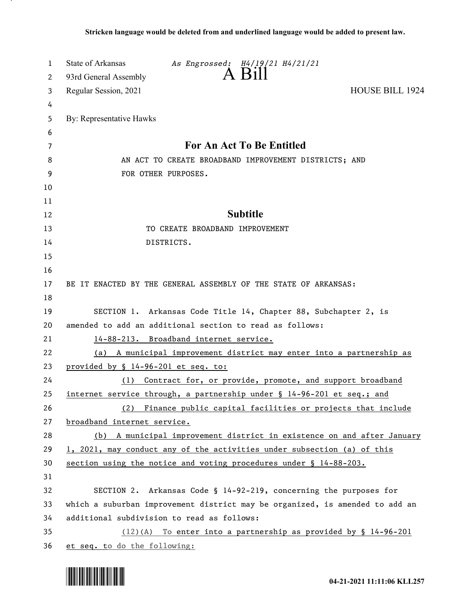| 1        | <b>State of Arkansas</b><br>As Engrossed: H4/19/21 H4/21/21                                                                 |  |
|----------|-----------------------------------------------------------------------------------------------------------------------------|--|
| 2        | $A$ Bill<br>93rd General Assembly                                                                                           |  |
| 3        | Regular Session, 2021<br><b>HOUSE BILL 1924</b>                                                                             |  |
| 4        |                                                                                                                             |  |
| 5        | By: Representative Hawks                                                                                                    |  |
| 6        |                                                                                                                             |  |
| 7        | For An Act To Be Entitled                                                                                                   |  |
| 8        | AN ACT TO CREATE BROADBAND IMPROVEMENT DISTRICTS; AND                                                                       |  |
| 9        | FOR OTHER PURPOSES.                                                                                                         |  |
| 10       |                                                                                                                             |  |
| 11       |                                                                                                                             |  |
| 12       | <b>Subtitle</b>                                                                                                             |  |
| 13       | TO CREATE BROADBAND IMPROVEMENT                                                                                             |  |
| 14       | DISTRICTS.                                                                                                                  |  |
| 15       |                                                                                                                             |  |
| 16       |                                                                                                                             |  |
| 17       | BE IT ENACTED BY THE GENERAL ASSEMBLY OF THE STATE OF ARKANSAS:                                                             |  |
| 18       |                                                                                                                             |  |
| 19<br>20 | SECTION 1. Arkansas Code Title 14, Chapter 88, Subchapter 2, is<br>amended to add an additional section to read as follows: |  |
| 21       | 14-88-213. Broadband internet service.                                                                                      |  |
| 22       | (a) A municipal improvement district may enter into a partnership as                                                        |  |
| 23       | provided by § 14-96-201 et seq. to:                                                                                         |  |
| 24       | (1) Contract for, or provide, promote, and support broadband                                                                |  |
| 25       | internet service through, a partnership under § 14-96-201 et seq.; and                                                      |  |
| 26       | (2) Finance public capital facilities or projects that include                                                              |  |
| 27       | broadband internet service.                                                                                                 |  |
| 28       | (b) A municipal improvement district in existence on and after January                                                      |  |
| 29       | 1, 2021, may conduct any of the activities under subsection (a) of this                                                     |  |
| 30       | section using the notice and voting procedures under § 14-88-203.                                                           |  |
| 31       |                                                                                                                             |  |
| 32       | SECTION 2. Arkansas Code § 14-92-219, concerning the purposes for                                                           |  |
| 33       | which a suburban improvement district may be organized, is amended to add an                                                |  |
| 34       | additional subdivision to read as follows:                                                                                  |  |
| 35       | (12)(A) To enter into a partnership as provided by § 14-96-201                                                              |  |
| 36       | et seq. to do the following:                                                                                                |  |

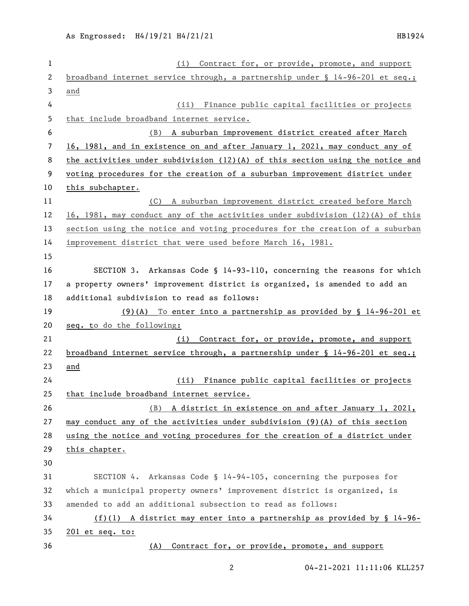| $\mathbf{1}$ | (i) Contract for, or provide, promote, and support                              |
|--------------|---------------------------------------------------------------------------------|
| 2            | broadband internet service through, a partnership under $\S$ 14-96-201 et seq.; |
| 3            | and                                                                             |
| 4            | (ii) Finance public capital facilities or projects                              |
| 5            | that include broadband internet service.                                        |
| 6            | A suburban improvement district created after March<br>(B)                      |
| 7            | 16, 1981, and in existence on and after January 1, 2021, may conduct any of     |
| 8            | the activities under subdivision $(12)(A)$ of this section using the notice and |
| 9            | voting procedures for the creation of a suburban improvement district under     |
| 10           | this subchapter.                                                                |
| 11           | (C) A suburban improvement district created before March                        |
| 12           | 16, 1981, may conduct any of the activities under subdivision $(12)(A)$ of this |
| 13           | section using the notice and voting procedures for the creation of a suburban   |
| 14           | improvement district that were used before March 16, 1981.                      |
| 15           |                                                                                 |
| 16           | SECTION 3. Arkansas Code § 14-93-110, concerning the reasons for which          |
| 17           | a property owners' improvement district is organized, is amended to add an      |
| 18           | additional subdivision to read as follows:                                      |
| 19           | $(9)(A)$ To enter into a partnership as provided by § 14-96-201 et              |
| 20           | seq. to do the following:                                                       |
| 21           | Contract for, or provide, promote, and support<br>(i)                           |
| 22           | broadband internet service through, a partnership under § 14-96-201 et seq.;    |
| 23           | and                                                                             |
| 24           | (ii) Finance public capital facilities or projects                              |
| 25           | that include broadband internet service.                                        |
| 26           | A district in existence on and after January 1, 2021,<br>(B)                    |
| 27           | may conduct any of the activities under subdivision $(9)(A)$ of this section    |
| 28           | using the notice and voting procedures for the creation of a district under     |
| 29           | this chapter.                                                                   |
| 30           |                                                                                 |
| 31           | SECTION 4. Arkansas Code § 14-94-105, concerning the purposes for               |
| 32           | which a municipal property owners' improvement district is organized, is        |
| 33           | amended to add an additional subsection to read as follows:                     |
| 34           | $(f)(1)$ A district may enter into a partnership as provided by § 14-96-        |
| 35           | 201 et seq. to:                                                                 |
| 36           | Contract for, or provide, promote, and support<br>(A)                           |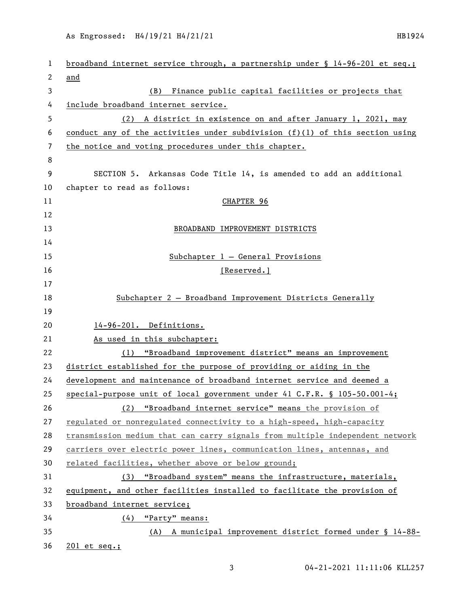As Engrossed: H4/19/21 H4/21/21 1121 1224

| 1  | broadband internet service through, a partnership under § 14-96-201 et seq.;   |
|----|--------------------------------------------------------------------------------|
| 2  | and                                                                            |
| 3  | (B) Finance public capital facilities or projects that                         |
| 4  | include broadband internet service.                                            |
| 5  | (2) A district in existence on and after January 1, 2021, may                  |
| 6  | conduct any of the activities under subdivision $(f)(1)$ of this section using |
| 7  | the notice and voting procedures under this chapter.                           |
| 8  |                                                                                |
| 9  | SECTION 5. Arkansas Code Title 14, is amended to add an additional             |
| 10 | chapter to read as follows:                                                    |
| 11 | CHAPTER 96                                                                     |
| 12 |                                                                                |
| 13 | BROADBAND IMPROVEMENT DISTRICTS                                                |
| 14 |                                                                                |
| 15 | $Subchapter 1 - General Provisions$                                            |
| 16 | [Reserved.]                                                                    |
| 17 |                                                                                |
| 18 | Subchapter 2 - Broadband Improvement Districts Generally                       |
| 19 |                                                                                |
| 20 | 14-96-201. Definitions.                                                        |
| 21 | As used in this subchapter:                                                    |
| 22 | (1) "Broadband improvement district" means an improvement                      |
| 23 | district established for the purpose of providing or aiding in the             |
| 24 | development and maintenance of broadband internet service and deemed a         |
| 25 | special-purpose unit of local government under 41 C.F.R. § 105-50.001-4;       |
| 26 | (2) "Broadband internet service" means the provision of                        |
| 27 | regulated or nonregulated connectivity to a high-speed, high-capacity          |
| 28 | transmission medium that can carry signals from multiple independent network   |
| 29 | carriers over electric power lines, communication lines, antennas, and         |
| 30 | related facilities, whether above or below ground;                             |
| 31 | (3) "Broadband system" means the infrastructure, materials,                    |
| 32 | equipment, and other facilities installed to facilitate the provision of       |
| 33 | broadband internet service;                                                    |
| 34 | $(4)$ "Party" means:                                                           |
| 35 | (A) A municipal improvement district formed under § 14-88-                     |
| 36 | $201$ et seq.;                                                                 |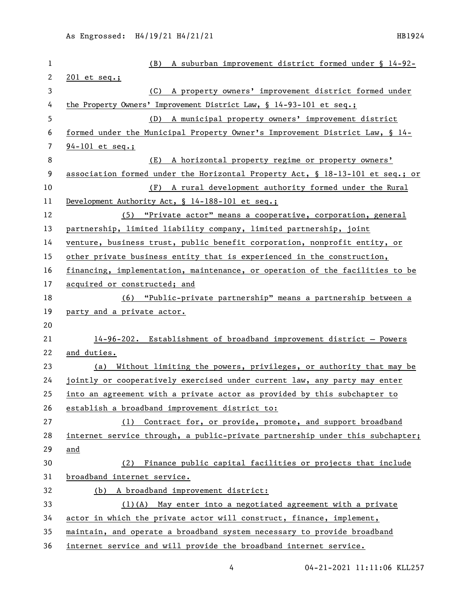| $\mathbf 1$ | A suburban improvement district formed under § 14-92-<br>(B)                  |
|-------------|-------------------------------------------------------------------------------|
| 2           | 201 et seq.;                                                                  |
| 3           | A property owners' improvement district formed under<br>(C)                   |
| 4           | the Property Owners' Improvement District Law, $\S$ 14-93-101 et seq.;        |
| 5           | (D) A municipal property owners' improvement district                         |
| 6           | formed under the Municipal Property Owner's Improvement District Law, § 14-   |
| 7           | $94 - 101$ et seq.;                                                           |
| 8           | A horizontal property regime or property owners'<br>(E)                       |
| 9           | association formed under the Horizontal Property Act, § 18-13-101 et seq.; or |
| 10          | (F) A rural development authority formed under the Rural                      |
| 11          | Development Authority Act, § 14-188-101 et seq.;                              |
| 12          | (5) "Private actor" means a cooperative, corporation, general                 |
| 13          | partnership, limited liability company, limited partnership, joint            |
| 14          | venture, business trust, public benefit corporation, nonprofit entity, or     |
| 15          | other private business entity that is experienced in the construction,        |
| 16          | financing, implementation, maintenance, or operation of the facilities to be  |
| 17          | acquired or constructed; and                                                  |
| 18          | (6) "Public-private partnership" means a partnership between a                |
| 19          | party and a private actor.                                                    |
| 20          |                                                                               |
| 21          | 14-96-202. Establishment of broadband improvement district - Powers           |
| 22          | and duties.                                                                   |
| 23          | (a) Without limiting the powers, privileges, or authority that may be         |
| 24          | jointly or cooperatively exercised under current law, any party may enter     |
| 25          | into an agreement with a private actor as provided by this subchapter to      |
| 26          | establish a broadband improvement district to:                                |
| 27          | (1) Contract for, or provide, promote, and support broadband                  |
| 28          | internet service through, a public-private partnership under this subchapter; |
| 29          | and                                                                           |
| 30          | Finance public capital facilities or projects that include<br>(2)             |
| 31          | broadband internet service.                                                   |
| 32          | (b) A broadband improvement district:                                         |
| 33          | $(1)(A)$ May enter into a negotiated agreement with a private                 |
| 34          | actor in which the private actor will construct, finance, implement,          |
| 35          | maintain, and operate a broadband system necessary to provide broadband       |
| 36          | internet service and will provide the broadband internet service.             |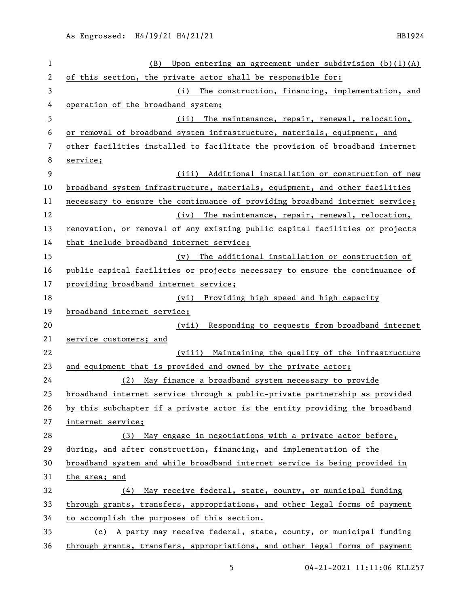| 1  | (B)<br>Upon entering an agreement under subdivision $(b)(1)(A)$              |
|----|------------------------------------------------------------------------------|
| 2  | of this section, the private actor shall be responsible for:                 |
| 3  | (i) The construction, financing, implementation, and                         |
| 4  | operation of the broadband system;                                           |
| 5  | The maintenance, repair, renewal, relocation,<br>(ii)                        |
| 6  | or removal of broadband system infrastructure, materials, equipment, and     |
| 7  | other facilities installed to facilitate the provision of broadband internet |
| 8  | service;                                                                     |
| 9  | (iii) Additional installation or construction of new                         |
| 10 | broadband system infrastructure, materials, equipment, and other facilities  |
| 11 | necessary to ensure_the_continuance_of_providing_broadband_internet_service; |
| 12 | (iv) The maintenance, repair, renewal, relocation,                           |
| 13 | renovation, or removal of any existing public capital facilities or projects |
| 14 | that include broadband internet service;                                     |
| 15 | The additional installation or construction of<br>$(\nu)$                    |
| 16 | public capital facilities or projects necessary to ensure the continuance of |
| 17 | providing broadband internet service;                                        |
| 18 | (vi) Providing high speed and high capacity                                  |
| 19 | broadband internet service;                                                  |
| 20 | (vii) Responding to requests from broadband internet                         |
| 21 | service customers; and                                                       |
| 22 | (viii) Maintaining the quality of the infrastructure                         |
| 23 | and equipment that is provided and owned by the private actor;               |
| 24 | May finance a broadband system necessary to provide<br>(2)                   |
| 25 | broadband internet service through a public-private partnership as provided  |
| 26 | by this subchapter if a private actor is the entity providing the broadband  |
| 27 | internet service;                                                            |
| 28 | (3) May engage in negotiations with a private actor before,                  |
| 29 | during, and after construction, financing, and implementation of the         |
| 30 | broadband system and while broadband internet service is being provided in   |
| 31 | the area; and                                                                |
| 32 | (4) May receive federal, state, county, or municipal funding                 |
| 33 | through grants, transfers, appropriations, and other legal forms of payment  |
| 34 | to accomplish the purposes of this section.                                  |
| 35 | (c) A party may receive federal, state, county, or municipal funding         |
| 36 | through grants, transfers, appropriations, and other legal forms of payment  |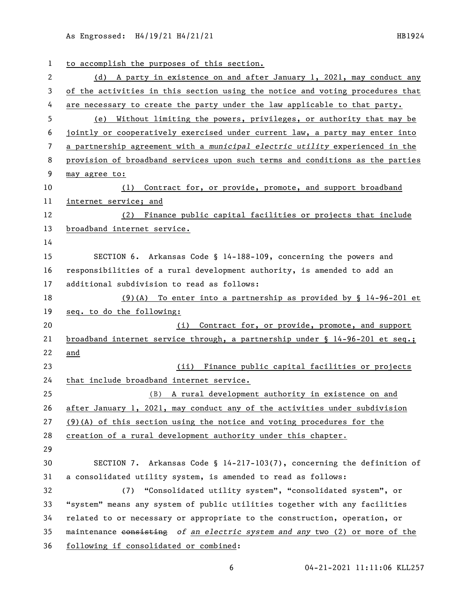As Engrossed: H4/19/21 H4/21/21 1121 1224

| 1  | to accomplish the purposes of this section.                                   |
|----|-------------------------------------------------------------------------------|
| 2  | (d) A party in existence on and after January 1, 2021, may conduct any        |
| 3  | of the activities in this section using the notice and voting procedures that |
| 4  | are necessary to create the party under the law applicable to that party.     |
| 5  | (e) Without limiting the powers, privileges, or authority that may be         |
| 6  | jointly or cooperatively exercised under current law, a party may enter into  |
| 7  | a partnership agreement with a municipal electric utility experienced in the  |
| 8  | provision of broadband services upon such terms and conditions as the parties |
| 9  | may agree to:                                                                 |
| 10 | Contract for, or provide, promote, and support broadband<br>(1)               |
| 11 | internet service; and                                                         |
| 12 | (2) Finance public capital facilities or projects that include                |
| 13 | broadband internet service.                                                   |
| 14 |                                                                               |
| 15 | SECTION 6. Arkansas Code § 14-188-109, concerning the powers and              |
| 16 | responsibilities of a rural development authority, is amended to add an       |
| 17 | additional subdivision to read as follows:                                    |
| 18 | $(9)(A)$ To enter into a partnership as provided by § 14-96-201 et            |
| 19 | seq. to do the following:                                                     |
| 20 | Contract for, or provide, promote, and support<br>(i)                         |
| 21 | broadband internet service through, a partnership under § 14-96-201 et seq.;  |
| 22 | and                                                                           |
| 23 | Finance public capital facilities or projects<br>(ii)                         |
| 24 | that include broadband internet service.                                      |
| 25 | (B) A rural development authority in existence on and                         |
| 26 | after January 1, 2021, may conduct any of the activities under subdivision    |
| 27 | $(9)(A)$ of this section using the notice and voting procedures for the       |
| 28 | creation of a rural development authority under this chapter.                 |
| 29 |                                                                               |
| 30 | SECTION 7. Arkansas Code § $14-217-103(7)$ , concerning the definition of     |
| 31 | a consolidated utility system, is amended to read as follows:                 |
| 32 | "Consolidated utility system", "consolidated system", or<br>(7)               |
| 33 | "system" means any system of public utilities together with any facilities    |
| 34 | related to or necessary or appropriate to the construction, operation, or     |
| 35 | maintenance consisting of an electric system and any two (2) or more of the   |
| 36 | following if consolidated or combined:                                        |